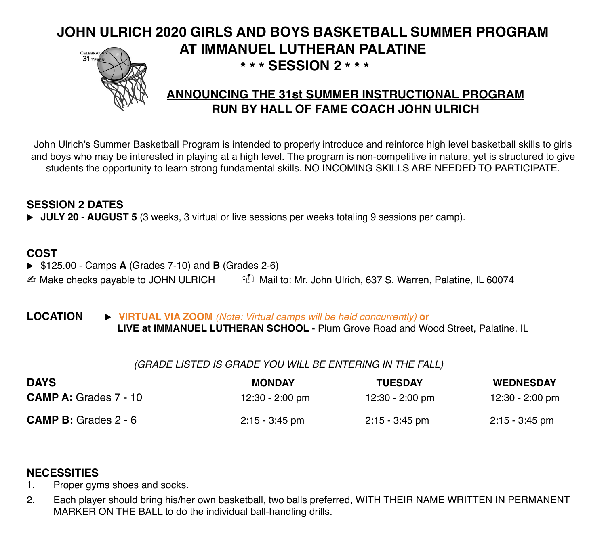## **JOHN ULRICH 2020 GIRLS AND BOYS BASKETBALL SUMMER PROGRAM AT IMMANUEL LUTHERAN PALATINE** CELEBRATH  **\* \* \* SESSION 2 \* \* \***



## **ANNOUNCING THE 31st SUMMER INSTRUCTIONAL PROGRAM RUN BY HALL OF FAME COACH JOHN ULRICH**

John Ulrich's Summer Basketball Program is intended to properly introduce and reinforce high level basketball skills to girls and boys who may be interested in playing at a high level. The program is non-competitive in nature, yet is structured to give students the opportunity to learn strong fundamental skills. NO INCOMING SKILLS ARE NEEDED TO PARTICIPATE.

## **SESSION 2 DATES**

▶ **JULY 20 - AUGUST 5** (3 weeks, 3 virtual or live sessions per weeks totaling 9 sessions per camp).

## **COST**

▶ \$125.00 - Camps **A** (Grades 7-10) and **B** (Grades 2-6)

 $\triangle$  Make checks payable to JOHN ULRICH  $\Box$  Mail to: Mr. John Ulrich, 637 S. Warren, Palatine, IL 60074

#### **LOCATION ► VIRTUAL VIA ZOOM** *(Note: Virtual camps will be held concurrently)* or  **LIVE at IMMANUEL LUTHERAN SCHOOL** - Plum Grove Road and Wood Street, Palatine, IL

#### *(GRADE LISTED IS GRADE YOU WILL BE ENTERING IN THE FALL)*

| <b>DAYS</b><br><b>CAMP A: Grades 7 - 10</b> | <b>MONDAY</b><br>12:30 - 2:00 pm | <b>TUESDAY</b><br>12:30 - 2:00 pm | <b>WEDNESDAY</b><br>12:30 - 2:00 pm |
|---------------------------------------------|----------------------------------|-----------------------------------|-------------------------------------|
|                                             |                                  |                                   |                                     |

## **NECESSITIES**

- 1. Proper gyms shoes and socks.
- 2. Each player should bring his/her own basketball, two balls preferred, WITH THEIR NAME WRITTEN IN PERMANENT MARKER ON THE BALL to do the individual ball-handling drills.